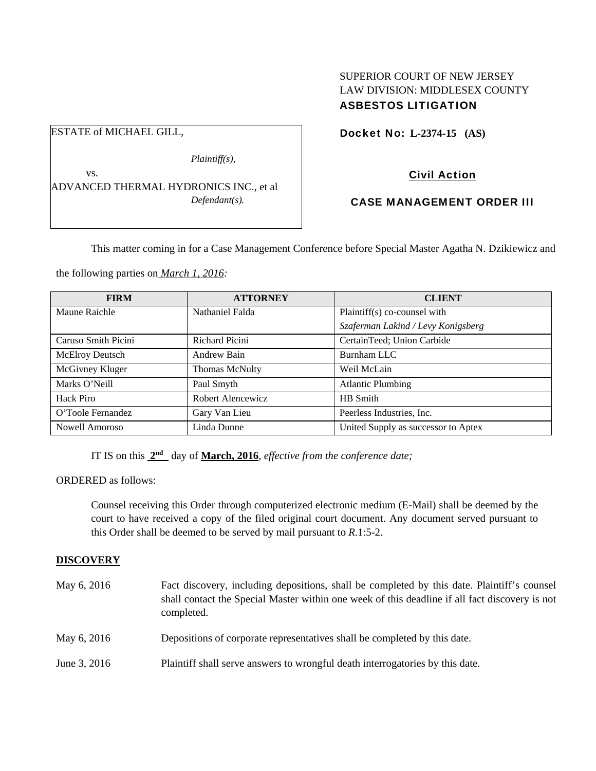# SUPERIOR COURT OF NEW JERSEY LAW DIVISION: MIDDLESEX COUNTY ASBESTOS LITIGATION

ESTATE of MICHAEL GILL, *Plaintiff(s),*  Docket No: **L-2374-15 (AS)** 

ADVANCED THERMAL HYDRONICS INC., et al *Defendant(s).* 

# Civil Action

# CASE MANAGEMENT ORDER III

This matter coming in for a Case Management Conference before Special Master Agatha N. Dzikiewicz and

the following parties on *March 1, 2016:* 

vs.

| <b>FIRM</b>         | <b>ATTORNEY</b>       | <b>CLIENT</b>                       |
|---------------------|-----------------------|-------------------------------------|
| Maune Raichle       | Nathaniel Falda       | Plaintiff(s) co-counsel with        |
|                     |                       | Szaferman Lakind / Levy Konigsberg  |
| Caruso Smith Picini | Richard Picini        | CertainTeed; Union Carbide          |
| McElroy Deutsch     | Andrew Bain           | Burnham LLC                         |
| McGivney Kluger     | <b>Thomas McNulty</b> | Weil McLain                         |
| Marks O'Neill       | Paul Smyth            | <b>Atlantic Plumbing</b>            |
| Hack Piro           | Robert Alencewicz     | HB Smith                            |
| O'Toole Fernandez   | Gary Van Lieu         | Peerless Industries, Inc.           |
| Nowell Amoroso      | Linda Dunne           | United Supply as successor to Aptex |

IT IS on this **2nd** day of **March, 2016**, *effective from the conference date;*

ORDERED as follows:

Counsel receiving this Order through computerized electronic medium (E-Mail) shall be deemed by the court to have received a copy of the filed original court document. Any document served pursuant to this Order shall be deemed to be served by mail pursuant to *R*.1:5-2.

## **DISCOVERY**

| May 6, 2016  | Fact discovery, including depositions, shall be completed by this date. Plaintiff's counsel<br>shall contact the Special Master within one week of this deadline if all fact discovery is not<br>completed. |
|--------------|-------------------------------------------------------------------------------------------------------------------------------------------------------------------------------------------------------------|
| May 6, 2016  | Depositions of corporate representatives shall be completed by this date.                                                                                                                                   |
| June 3, 2016 | Plaintiff shall serve answers to wrongful death interrogatories by this date.                                                                                                                               |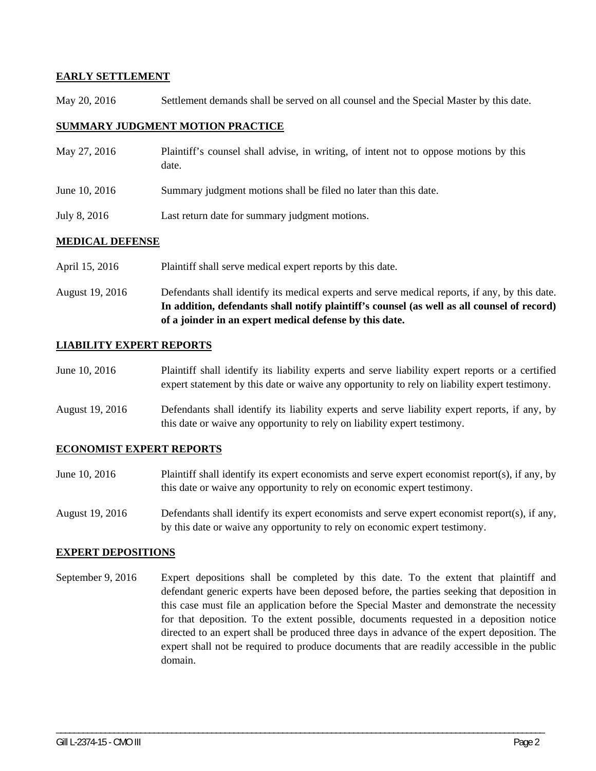### **EARLY SETTLEMENT**

May 20, 2016 Settlement demands shall be served on all counsel and the Special Master by this date.

#### **SUMMARY JUDGMENT MOTION PRACTICE**

| May 27, 2016  | Plaintiff's counsel shall advise, in writing, of intent not to oppose motions by this<br>date. |
|---------------|------------------------------------------------------------------------------------------------|
| June 10, 2016 | Summary judgment motions shall be filed no later than this date.                               |
| July 8, 2016  | Last return date for summary judgment motions.                                                 |

### **MEDICAL DEFENSE**

- April 15, 2016 Plaintiff shall serve medical expert reports by this date.
- August 19, 2016 Defendants shall identify its medical experts and serve medical reports, if any, by this date. **In addition, defendants shall notify plaintiff's counsel (as well as all counsel of record) of a joinder in an expert medical defense by this date.**

### **LIABILITY EXPERT REPORTS**

- June 10, 2016 Plaintiff shall identify its liability experts and serve liability expert reports or a certified expert statement by this date or waive any opportunity to rely on liability expert testimony.
- August 19, 2016 Defendants shall identify its liability experts and serve liability expert reports, if any, by this date or waive any opportunity to rely on liability expert testimony.

#### **ECONOMIST EXPERT REPORTS**

- June 10, 2016 Plaintiff shall identify its expert economists and serve expert economist report(s), if any, by this date or waive any opportunity to rely on economic expert testimony.
- August 19, 2016 Defendants shall identify its expert economists and serve expert economist report(s), if any, by this date or waive any opportunity to rely on economic expert testimony.

#### **EXPERT DEPOSITIONS**

September 9, 2016 Expert depositions shall be completed by this date. To the extent that plaintiff and defendant generic experts have been deposed before, the parties seeking that deposition in this case must file an application before the Special Master and demonstrate the necessity for that deposition. To the extent possible, documents requested in a deposition notice directed to an expert shall be produced three days in advance of the expert deposition. The expert shall not be required to produce documents that are readily accessible in the public domain.

\_\_\_\_\_\_\_\_\_\_\_\_\_\_\_\_\_\_\_\_\_\_\_\_\_\_\_\_\_\_\_\_\_\_\_\_\_\_\_\_\_\_\_\_\_\_\_\_\_\_\_\_\_\_\_\_\_\_\_\_\_\_\_\_\_\_\_\_\_\_\_\_\_\_\_\_\_\_\_\_\_\_\_\_\_\_\_\_\_\_\_\_\_\_\_\_\_\_\_\_\_\_\_\_\_\_\_\_\_\_